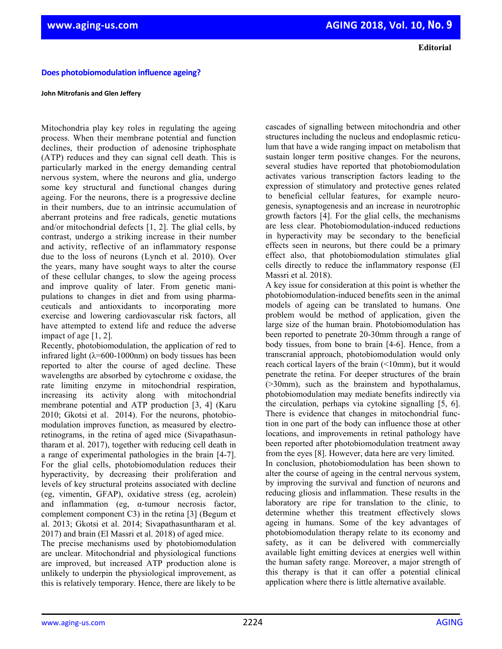**Editorial**

 **Does photobiomodulation influence ageing?** 

## **John Mitrofanis and Glen Jeffery**

Mitochondria play key roles in regulating the ageing process. When their membrane potential and function declines, their production of adenosine triphosphate (ATP) reduces and they can signal cell death. This is particularly marked in the energy demanding central nervous system, where the neurons and glia, undergo some key structural and functional changes during ageing. For the neurons, there is a progressive decline in their numbers, due to an intrinsic accumulation of aberrant proteins and free radicals, genetic mutations and/or mitochondrial defects [1, 2]. The glial cells, by contrast, undergo a striking increase in their number and activity, reflective of an inflammatory response due to the loss of neurons (Lynch et al. 2010). Over the years, many have sought ways to alter the course of these cellular changes, to slow the ageing process and improve quality of later. From genetic manipulations to changes in diet and from using pharmaceuticals and antioxidants to incorporating more exercise and lowering cardiovascular risk factors, all have attempted to extend life and reduce the adverse impact of age [1, 2].

Recently, photobiomodulation, the application of red to infrared light ( $\lambda$ =600-1000nm) on body tissues has been reported to alter the course of aged decline. These wavelengths are absorbed by cytochrome c oxidase, the rate limiting enzyme in mitochondrial respiration, increasing its activity along with mitochondrial membrane potential and ATP production [3, 4] (Karu 2010; Gkotsi et al. 2014). For the neurons, photobiomodulation improves function, as measured by electroretinograms, in the retina of aged mice (Sivapathasuntharam et al. 2017), together with reducing cell death in a range of experimental pathologies in the brain [4-7]. For the glial cells, photobiomodulation reduces their hyperactivity, by decreasing their proliferation and levels of key structural proteins associated with decline (eg, vimentin, GFAP), oxidative stress (eg, acrolein) and inflammation (eg, α-tumour necrosis factor, complement component C3) in the retina [3] (Begum et al. 2013; Gkotsi et al. 2014; Sivapathasuntharam et al. 2017) and brain (El Massri et al. 2018) of aged mice.

The precise mechanisms used by photobiomodulation are unclear. Mitochondrial and physiological functions are improved, but increased ATP production alone is unlikely to underpin the physiological improvement, as this is relatively temporary. Hence, there are likely to be

cascades of signalling between mitochondria and other structures including the nucleus and endoplasmic reticulum that have a wide ranging impact on metabolism that sustain longer term positive changes. For the neurons, several studies have reported that photobiomodulation activates various transcription factors leading to the expression of stimulatory and protective genes related to beneficial cellular features, for example neurogenesis, synaptogenesis and an increase in neurotrophic growth factors [4]. For the glial cells, the mechanisms are less clear. Photobiomodulation-induced reductions in hyperactivity may be secondary to the beneficial effects seen in neurons, but there could be a primary effect also, that photobiomodulation stimulates glial cells directly to reduce the inflammatory response (El Massri et al. 2018).

A key issue for consideration at this point is whether the photobiomodulation-induced benefits seen in the animal models of ageing can be translated to humans. One problem would be method of application, given the large size of the human brain. Photobiomodulation has been reported to penetrate 20-30mm through a range of body tissues, from bone to brain [4-6]. Hence, from a transcranial approach, photobiomodulation would only reach cortical layers of the brain (<10mm), but it would penetrate the retina. For deeper structures of the brain (>30mm), such as the brainstem and hypothalamus, photobiomodulation may mediate benefits indirectly via the circulation, perhaps via cytokine signalling [5, 6]. There is evidence that changes in mitochondrial function in one part of the body can influence those at other locations, and improvements in retinal pathology have been reported after photobiomodulation treatment away from the eyes [8]. However, data here are very limited. In conclusion, photobiomodulation has been shown to alter the course of ageing in the central nervous system, by improving the survival and function of neurons and reducing gliosis and inflammation. These results in the laboratory are ripe for translation to the clinic, to determine whether this treatment effectively slows ageing in humans. Some of the key advantages of

photobiomodulation therapy relate to its economy and safety, as it can be delivered with commercially available light emitting devices at energies well within the human safety range. Moreover, a major strength of this therapy is that it can offer a potential clinical application where there is little alternative available.